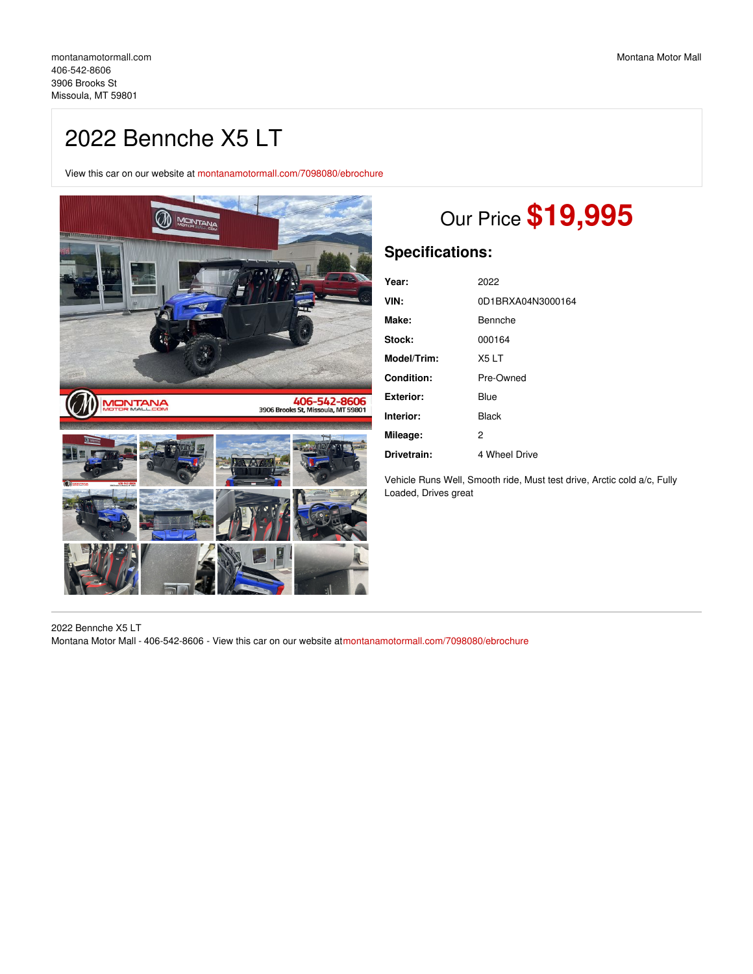## 2022 Bennche X5 LT

View this car on our website at [montanamotormall.com/7098080/ebrochure](https://montanamotormall.com/vehicle/7098080/2022-bennche-x5-lt-missoula-mt-59801/7098080/ebrochure)



# Our Price **\$19,995**

#### **Specifications:**

| Year:             | 2022              |
|-------------------|-------------------|
| VIN:              | 0D1BRXA04N3000164 |
| Make:             | Bennche           |
| Stock:            | 000164            |
| Model/Trim:       | X5LT              |
| <b>Condition:</b> | Pre-Owned         |
| Exterior:         | Blue              |
| Interior:         | <b>Black</b>      |
| Mileage:          | $\overline{2}$    |
| Drivetrain:       | 4 Wheel Drive     |

Vehicle Runs Well, Smooth ride, Must test drive, Arctic cold a/c, Fully Loaded, Drives great

2022 Bennche X5 LT Montana Motor Mall - 406-542-8606 - View this car on our website a[tmontanamotormall.com/7098080/ebrochure](https://montanamotormall.com/vehicle/7098080/2022-bennche-x5-lt-missoula-mt-59801/7098080/ebrochure)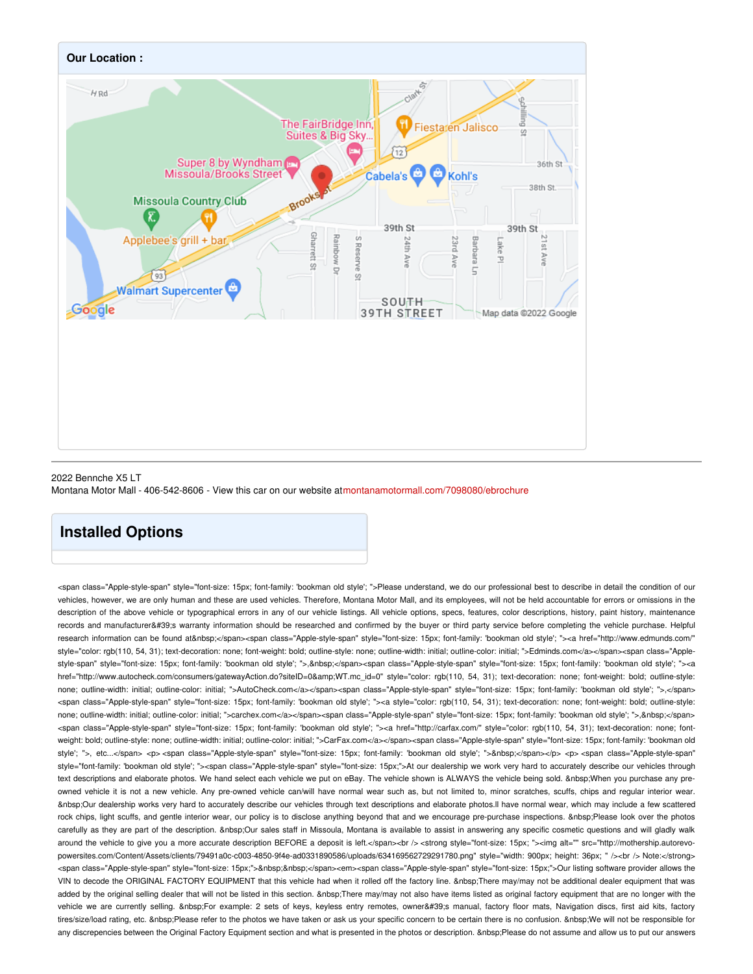

#### 2022 Bennche X5 LT Montana Motor Mall - 406-542-8606 - View this car on our website a[tmontanamotormall.com/7098080/ebrochure](https://montanamotormall.com/vehicle/7098080/2022-bennche-x5-lt-missoula-mt-59801/7098080/ebrochure)

### **Installed Options**

<span class="Apple-style-span" style="font-size: 15px; font-family: 'bookman old style'; ">Please understand, we do our professional best to describe in detail the condition of our vehicles, however, we are only human and these are used vehicles. Therefore, Montana Motor Mall, and its employees, will not be held accountable for errors or omissions in the description of the above vehicle or typographical errors in any of our vehicle listings. All vehicle options, specs, features, color descriptions, history, paint history, maintenance records and manufacturer's warranty information should be researched and confirmed by the buyer or third party service before completing the vehicle purchase. Helpful research information can be found at </span><span class="Apple-style-span" style="font-size: 15px; font-family: 'bookman old style'; "><a href="http://www.edmunds.com/" style="color: rgb(110, 54, 31); text-decoration: none; font-weight: bold; outline-style: none; outline-width: initial; outline-color: initial; ">Edminds.com</a></span><span class="Applestyle-span" style="font-size: 15px; font-family: 'bookman old style'; ">, </span><span class="Apple-style-span" style="font-size: 15px; font-family: 'bookman old style'; "><a href="http://www.autocheck.com/consumers/gatewayAction.do?siteID=0&WT.mc\_id=0" style="color: rgb(110, 54, 31); text-decoration: none; font-weight: bold; outline-style: none; outline-width: initial; outline-color: initial; ">AutoCheck.com</a></span><span class="Apple-style-span" style="font-size: 15px; font-family: 'bookman old style'; ">,</span> <span class="Apple-style-span" style="font-size: 15px; font-family: 'bookman old style'; "><a style="color: rgb(110, 54, 31); text-decoration: none; font-weight: bold; outline-style: none; outline-width: initial; outline-color: initial; ">carchex.com</a></span><span class="Apple-style-span" style="font-size: 15px; font-family: 'bookman old style'; ">,&nbsp;</span> <span class="Apple-style-span" style="font-size: 15px; font-family: 'bookman old style'; "><a href="http://carfax.com/" style="color: rgb(110, 54, 31); text-decoration: none; fontweight: bold; outline-style: none; outline-width: initial; outline-color: initial; ">CarFax.com</a></span><span class="Apple-style-span" style="font-size: 15px; font-family: 'bookman old style'; ">, etc...</span> <p> <span class="Apple-style-span" style="font-size: 15px; font-family: 'bookman old style'; ">&nbsp;</span></p> <p> <span class="Apple-style-span" style="font-family: 'bookman old style'; "><span class="Apple-style-span" style="font-size: 15px;">At our dealership we work very hard to accurately describe our vehicles through text descriptions and elaborate photos. We hand select each vehicle we put on eBay. The vehicle shown is ALWAYS the vehicle being sold. When you purchase any preowned vehicle it is not a new vehicle. Any pre-owned vehicle can/will have normal wear such as, but not limited to, minor scratches, scuffs, chips and regular interior wear. Our dealership works very hard to accurately describe our vehicles through text descriptions and elaborate photos.ll have normal wear, which may include a few scattered rock chips, light scuffs, and gentle interior wear, our policy is to disclose anything beyond that and we encourage pre-purchase inspections. Please look over the photos carefully as they are part of the description. Our sales staff in Missoula, Montana is available to assist in answering any specific cosmetic questions and will gladly walk around the vehicle to give you a more accurate description BEFORE a deposit is left.</span><br /><br /></br> </br>>style="font-size: 15px; "><img alt="" src="http://mothership.autorevopowersites.com/Content/Assets/clients/79491a0c-c003-4850-9f4e-ad0331890586/uploads/634169562729291780.png" style="width: 900px; height: 36px; " /><br /> Note:</strong> <span class="Apple-style-span" style="font-size: 15px;">&nbsp;&nbsp;</span><em><span class="Apple-style-"font-size: 15px;">Our listing software provider allows the VIN to decode the ORIGINAL FACTORY EQUIPMENT that this vehicle had when it rolled off the factory line. There may/may not be additional dealer equipment that was added by the original selling dealer that will not be listed in this section. & nbsp: There may/may not also have items listed as original factory equipment that are no longer with the vehicle we are currently selling. For example: 2 sets of keys, keyless entry remotes, owner's manual, factory floor mats, Navigation discs, first aid kits, factory tires/size/load rating, etc. &nbsp:Please refer to the photos we have taken or ask us your specific concern to be certain there is no confusion. &nbsp:We will not be responsible for any discrepencies between the Original Factory Equipment section and what is presented in the photos or description. Please do not assume and allow us to put our answers